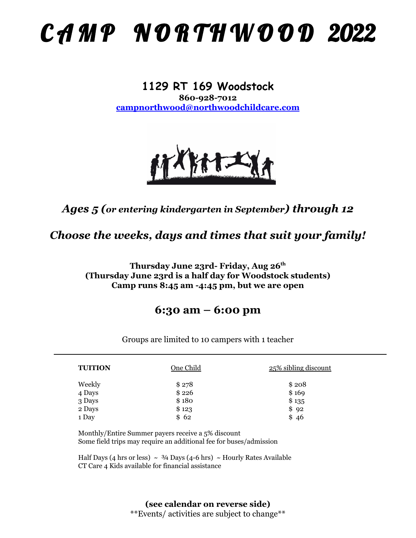# CAMP NORTHWOOD 2022

#### **1129 RT 169 Woodstock 860-928-7012 [campnorthwood@northwoodchildcare.com](mailto:campnorthwood@northwoodchildcare.com)**



# *Ages 5 (or entering kindergarten in September) through 12*

*Choose the weeks, days and times that suit your family!*

**Thursday June 23rd- Friday, Aug 26th (Thursday June 23rd is a half day for Woodstock students) Camp runs 8:45 am -4:45 pm, but we are open**

## **6:30 am – 6:00 pm**

| <b>TUITION</b> | One Child | 25% sibling discount |
|----------------|-----------|----------------------|
| Weekly         | \$278     | \$208                |
| 4 Days         | \$226     | \$169                |
| 3 Days         | \$180     | \$135                |
| 2 Days         | \$123     | \$92                 |
| 1 Day          | \$62      | \$46                 |

Groups are limited to 10 campers with 1 teacher

Monthly/Entire Summer payers receive a 5% discount Some field trips may require an additional fee for buses/admission

Half Days (4 hrs or less)  $\sim$  3/4 Days (4-6 hrs)  $\sim$  Hourly Rates Available CT Care 4 Kids available for financial assistance

### **(see calendar on reverse side)**

\*\*Events/ activities are subject to change\*\*